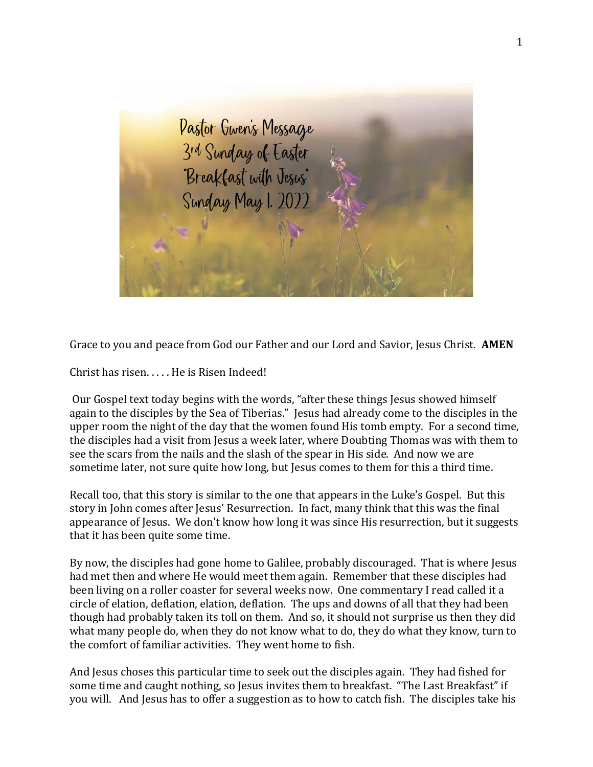

Grace to you and peace from God our Father and our Lord and Savior, Jesus Christ. **AMEN**

Christ has risen. . . . . He is Risen Indeed!

Our Gospel text today begins with the words, "after these things Jesus showed himself again to the disciples by the Sea of Tiberias." Jesus had already come to the disciples in the upper room the night of the day that the women found His tomb empty. For a second time, the disciples had a visit from Jesus a week later, where Doubting Thomas was with them to see the scars from the nails and the slash of the spear in His side. And now we are sometime later, not sure quite how long, but Jesus comes to them for this a third time.

Recall too, that this story is similar to the one that appears in the Luke's Gospel. But this story in John comes after Jesus' Resurrection. In fact, many think that this was the final appearance of Jesus. We don't know how long it was since His resurrection, but it suggests that it has been quite some time.

By now, the disciples had gone home to Galilee, probably discouraged. That is where Jesus had met then and where He would meet them again. Remember that these disciples had been living on a roller coaster for several weeks now. One commentary I read called it a circle of elation, deflation, elation, deflation. The ups and downs of all that they had been though had probably taken its toll on them. And so, it should not surprise us then they did what many people do, when they do not know what to do, they do what they know, turn to the comfort of familiar activities. They went home to fish.

And Jesus choses this particular time to seek out the disciples again. They had fished for some time and caught nothing, so Jesus invites them to breakfast. "The Last Breakfast" if you will. And Jesus has to offer a suggestion as to how to catch fish. The disciples take his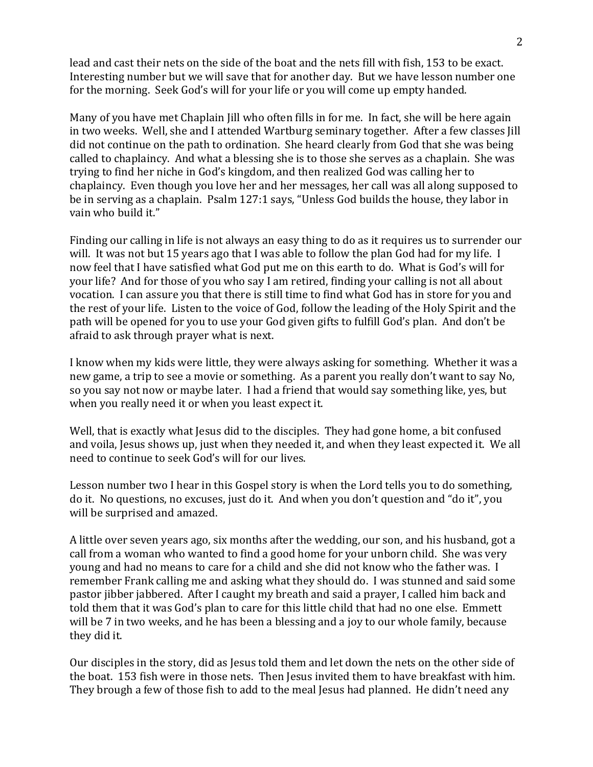lead and cast their nets on the side of the boat and the nets fill with fish, 153 to be exact. Interesting number but we will save that for another day. But we have lesson number one for the morning. Seek God's will for your life or you will come up empty handed.

Many of you have met Chaplain Jill who often fills in for me. In fact, she will be here again in two weeks. Well, she and I attended Wartburg seminary together. After a few classes Jill did not continue on the path to ordination. She heard clearly from God that she was being called to chaplaincy. And what a blessing she is to those she serves as a chaplain. She was trying to find her niche in God's kingdom, and then realized God was calling her to chaplaincy. Even though you love her and her messages, her call was all along supposed to be in serving as a chaplain. Psalm 127:1 says, "Unless God builds the house, they labor in vain who build it."

Finding our calling in life is not always an easy thing to do as it requires us to surrender our will. It was not but 15 years ago that I was able to follow the plan God had for my life. I now feel that I have satisfied what God put me on this earth to do. What is God's will for your life? And for those of you who say I am retired, finding your calling is not all about vocation. I can assure you that there is still time to find what God has in store for you and the rest of your life. Listen to the voice of God, follow the leading of the Holy Spirit and the path will be opened for you to use your God given gifts to fulfill God's plan. And don't be afraid to ask through prayer what is next.

I know when my kids were little, they were always asking for something. Whether it was a new game, a trip to see a movie or something. As a parent you really don't want to say No, so you say not now or maybe later. I had a friend that would say something like, yes, but when you really need it or when you least expect it.

Well, that is exactly what Jesus did to the disciples. They had gone home, a bit confused and voila, Jesus shows up, just when they needed it, and when they least expected it. We all need to continue to seek God's will for our lives.

Lesson number two I hear in this Gospel story is when the Lord tells you to do something, do it. No questions, no excuses, just do it. And when you don't question and "do it", you will be surprised and amazed.

A little over seven years ago, six months after the wedding, our son, and his husband, got a call from a woman who wanted to find a good home for your unborn child. She was very young and had no means to care for a child and she did not know who the father was. I remember Frank calling me and asking what they should do. I was stunned and said some pastor jibber jabbered. After I caught my breath and said a prayer, I called him back and told them that it was God's plan to care for this little child that had no one else. Emmett will be 7 in two weeks, and he has been a blessing and a joy to our whole family, because they did it.

Our disciples in the story, did as Jesus told them and let down the nets on the other side of the boat. 153 fish were in those nets. Then Jesus invited them to have breakfast with him. They brough a few of those fish to add to the meal Jesus had planned. He didn't need any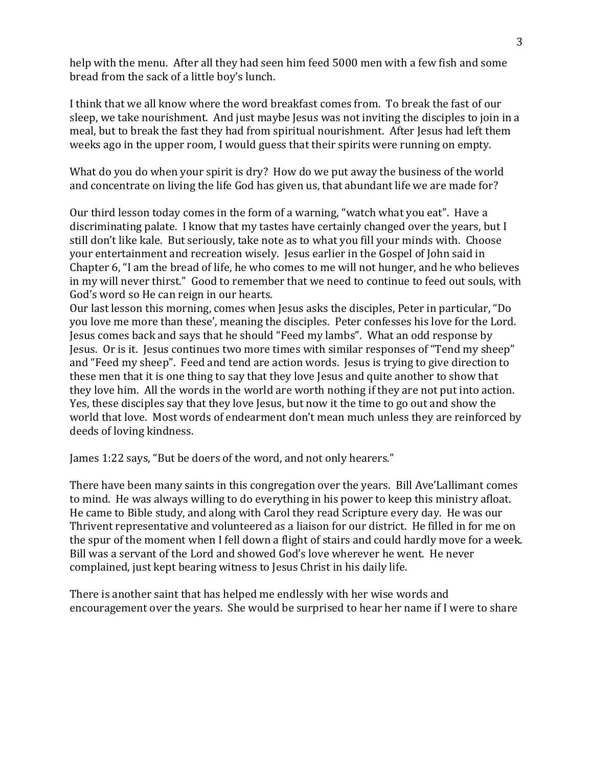help with the menu. After all they had seen him feed 5000 men with a few fish and some bread from the sack of a little boy's lunch.

I think that we all know where the word breakfast comes from. To break the fast of our sleep, we take nourishment. And just maybe Jesus was not inviting the disciples to join in a meal, but to break the fast they had from spiritual nourishment. After Jesus had left them weeks ago in the upper room, I would guess that their spirits were running on empty.

What do you do when your spirit is dry? How do we put away the business of the world and concentrate on living the life God has given us, that abundant life we are made for?

Our third lesson today comes in the form of a warning, "watch what you eat". Have a discriminating palate. I know that my tastes have certainly changed over the years, but I still don't like kale. But seriously, take note as to what you fill your minds with. Choose your entertainment and recreation wisely. Jesus earlier in the Gospel of John said in Chapter 6, "I am the bread of life, he who comes to me will not hunger, and he who believes in my will never thirst." Good to remember that we need to continue to feed out souls, with God's word so He can reign in our hearts.

Our last lesson this morning, comes when Jesus asks the disciples, Peter in particular, "Do you love me more than these', meaning the disciples. Peter confesses his love for the Lord. Jesus comes back and says that he should "Feed my lambs". What an odd response by Jesus. Or is it. Jesus continues two more times with similar responses of "Tend my sheep" and "Feed my sheep". Feed and tend are action words. Jesus is trying to give direction to these men that it is one thing to say that they love Jesus and quite another to show that they love him. All the words in the world are worth nothing if they are not put into action. Yes, these disciples say that they love Jesus, but now it the time to go out and show the world that love. Most words of endearment don't mean much unless they are reinforced by deeds of loving kindness.

James 1:22 says, "But be doers of the word, and not only hearers."

There have been many saints in this congregation over the years. Bill Ave'Lallimant comes to mind. He was always willing to do everything in his power to keep this ministry afloat. He came to Bible study, and along with Carol they read Scripture every day. He was our Thrivent representative and volunteered as a liaison for our district. He filled in for me on the spur of the moment when I fell down a flight of stairs and could hardly move for a week. Bill was a servant of the Lord and showed God's love wherever he went. He never complained, just kept bearing witness to Jesus Christ in his daily life.

There is another saint that has helped me endlessly with her wise words and encouragement over the years. She would be surprised to hear her name if I were to share